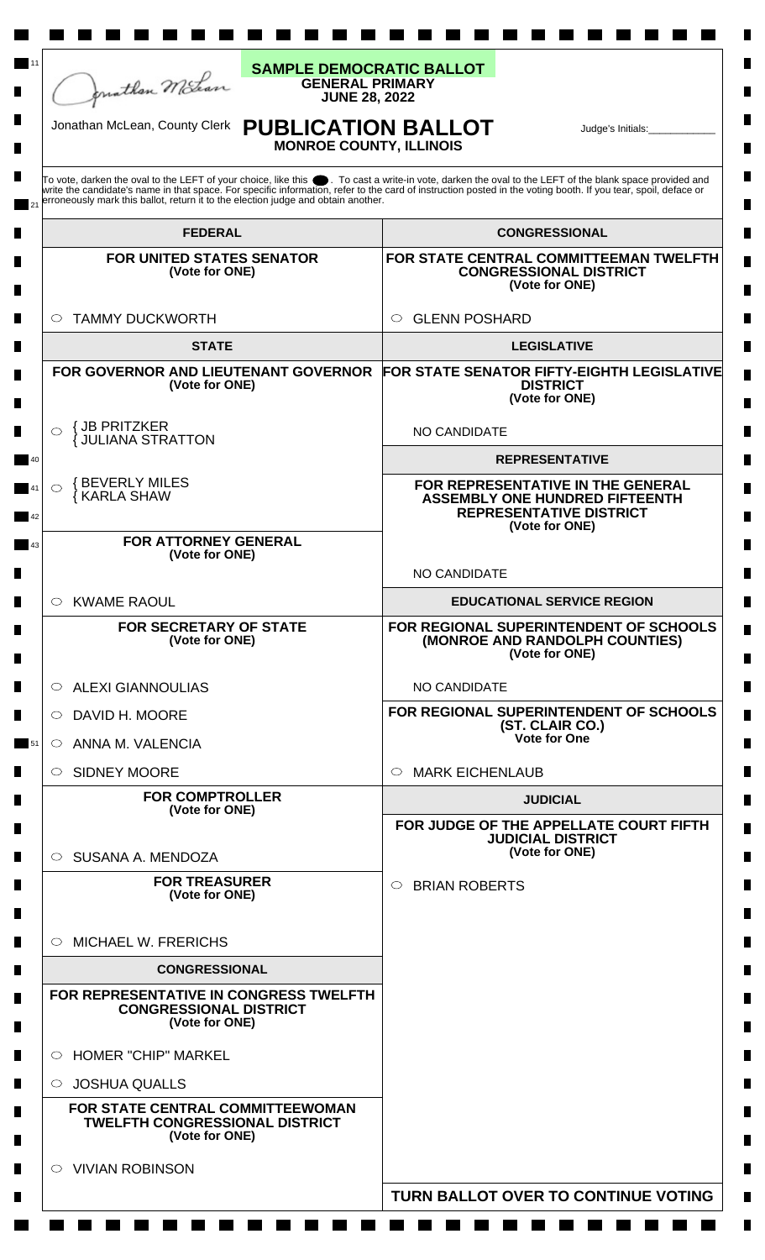

**Maria**  a sa Bara

11

П

 $\blacksquare$ 

П

## **GENERAL PRIMARY JUNE 28, 2022 SAMPLE DEMOCRATIC BALLOT**

**The Co** 

**The Co**  **Contract Contract** 

a sa n

## **PUBLICATION BALLOT MONROE COUNTY, ILLINOIS** Jonathan McLean, County Clerk Judge's Initials:\_\_\_\_\_\_\_\_\_\_\_\_

**The Co**   $\blacksquare$ 

 $\blacksquare$ 

 $\blacksquare$ 

П

 $\blacksquare$ 

 $\blacksquare$ 

 $\blacksquare$ 

**The Contract of State** 

a sa

To vote, darken the oval to the LEFT of your choice, like this ● . To cast a write-in vote, darken the oval to the LEFT of the blank space provided and<br>write the candidate's name in that space. For specific information, r erroneously mark this ballot, return it to the election judge and obtain another. 21

| <b>FEDERAL</b>                                                                                   | <b>CONGRESSIONAL</b>                                                                                                           |
|--------------------------------------------------------------------------------------------------|--------------------------------------------------------------------------------------------------------------------------------|
| <b>FOR UNITED STATES SENATOR</b><br>(Vote for ONE)                                               | FOR STATE CENTRAL COMMITTEEMAN TWELFTH<br><b>CONGRESSIONAL DISTRICT</b><br>(Vote for ONE)                                      |
| <b>TAMMY DUCKWORTH</b><br>$\circ$                                                                | ○ GLENN POSHARD                                                                                                                |
| <b>STATE</b>                                                                                     | <b>LEGISLATIVE</b>                                                                                                             |
| FOR GOVERNOR AND LIEUTENANT GOVERNOR<br>(Vote for ONE)                                           | <b>FOR STATE SENATOR FIFTY-EIGHTH LEGISLATIVE</b><br><b>DISTRICT</b><br>(Vote for ONE)                                         |
| <b>JB PRITZKER</b><br><b>JULIANA STRATTON</b>                                                    | <b>NO CANDIDATE</b>                                                                                                            |
|                                                                                                  | <b>REPRESENTATIVE</b>                                                                                                          |
| <b>{BEVERLY MILES</b><br><b>KARLA SHAW</b>                                                       | FOR REPRESENTATIVE IN THE GENERAL<br><b>ASSEMBLY ONE HUNDRED FIFTEENTH</b><br><b>REPRESENTATIVE DISTRICT</b><br>(Vote for ONE) |
| <b>FOR ATTORNEY GENERAL</b>                                                                      |                                                                                                                                |
| (Vote for ONE)                                                                                   | <b>NO CANDIDATE</b>                                                                                                            |
| $\circ$ KWAME RAOUL                                                                              | <b>EDUCATIONAL SERVICE REGION</b>                                                                                              |
| FOR SECRETARY OF STATE<br>(Vote for ONE)                                                         | FOR REGIONAL SUPERINTENDENT OF SCHOOLS<br>(MONROE AND RANDOLPH COUNTIES)<br>(Vote for ONE)                                     |
| <b>ALEXI GIANNOULIAS</b><br>$\circ$                                                              | <b>NO CANDIDATE</b>                                                                                                            |
| DAVID H. MOORE<br>$\circ$                                                                        | FOR REGIONAL SUPERINTENDENT OF SCHOOLS<br>(ST. CLAIR CO.)                                                                      |
| ANNA M. VALENCIA<br>$\circ$                                                                      | <b>Vote for One</b>                                                                                                            |
| $\circ$ SIDNEY MOORE                                                                             | $\circ$ MARK EICHENLAUB                                                                                                        |
| <b>FOR COMPTROLLER</b><br>(Vote for ONE)                                                         | <b>JUDICIAL</b>                                                                                                                |
| SUSANA A. MENDOZA<br>O                                                                           | FOR JUDGE OF THE APPELLATE COURT FIFTH<br><b>JUDICIAL DISTRICT</b><br>(Vote for ONE)                                           |
| <b>FOR TREASURER</b><br>(Vote for ONE)                                                           | <b>BRIAN ROBERTS</b><br>$\circ$                                                                                                |
| $\circ$ MICHAEL W. FRERICHS                                                                      |                                                                                                                                |
| <b>CONGRESSIONAL</b>                                                                             |                                                                                                                                |
| <b>FOR REPRESENTATIVE IN CONGRESS TWELFTH</b><br><b>CONGRESSIONAL DISTRICT</b><br>(Vote for ONE) |                                                                                                                                |
| <b>HOMER "CHIP" MARKEL</b><br>$\circ$                                                            |                                                                                                                                |
| <b>JOSHUA QUALLS</b><br>$\circ$                                                                  |                                                                                                                                |
| FOR STATE CENTRAL COMMITTEEWOMAN<br><b>TWELFTH CONGRESSIONAL DISTRICT</b><br>(Vote for ONE)      |                                                                                                                                |
| $\circ$ VIVIAN ROBINSON                                                                          |                                                                                                                                |
|                                                                                                  | TURN BALLOT OVER TO CONTINUE VOTING                                                                                            |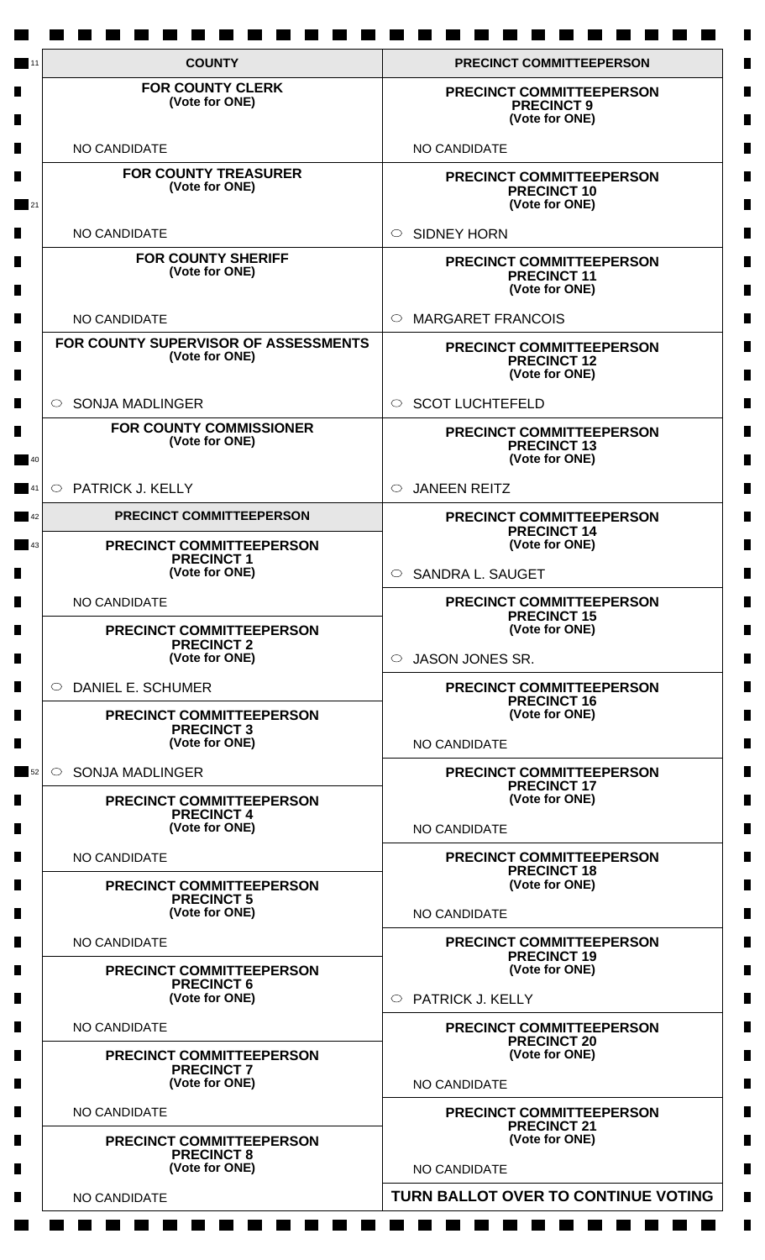| <b>COUNTY</b>                                                                               | <b>PRECINCT COMMITTEEPERSON</b>                                         |
|---------------------------------------------------------------------------------------------|-------------------------------------------------------------------------|
| <b>FOR COUNTY CLERK</b><br>(Vote for ONE)                                                   | <b>PRECINCT COMMITTEEPERSON</b><br><b>PRECINCT 9</b><br>(Vote for ONE)  |
| NO CANDIDATE                                                                                | NO CANDIDATE                                                            |
| <b>FOR COUNTY TREASURER</b><br>(Vote for ONE)                                               | <b>PRECINCT COMMITTEEPERSON</b><br><b>PRECINCT 10</b><br>(Vote for ONE) |
| NO CANDIDATE                                                                                | <b>SIDNEY HORN</b><br>$\bigcirc$                                        |
| <b>FOR COUNTY SHERIFF</b><br>(Vote for ONE)                                                 | PRECINCT COMMITTEEPERSON<br><b>PRECINCT 11</b><br>(Vote for ONE)        |
| NO CANDIDATE                                                                                | <b>MARGARET FRANCOIS</b><br>◯                                           |
| FOR COUNTY SUPERVISOR OF ASSESSMENTS<br>(Vote for ONE)                                      | PRECINCT COMMITTEEPERSON<br><b>PRECINCT 12</b><br>(Vote for ONE)        |
| <b>SONJA MADLINGER</b><br>$\circ$                                                           | <b>SCOT LUCHTEFELD</b><br>$\circ$                                       |
| <b>FOR COUNTY COMMISSIONER</b><br>(Vote for ONE)                                            | <b>PRECINCT COMMITTEEPERSON</b><br><b>PRECINCT 13</b><br>(Vote for ONE) |
| <b>PATRICK J. KELLY</b><br>$\circ$                                                          | <b>JANEEN REITZ</b><br>$\bigcirc$                                       |
| PRECINCT COMMITTEEPERSON                                                                    | <b>PRECINCT COMMITTEEPERSON</b><br><b>PRECINCT 14</b>                   |
| PRECINCT COMMITTEEPERSON<br><b>PRECINCT1</b><br>(Vote for ONE)                              | (Vote for ONE)<br><b>SANDRA L. SAUGET</b><br>$\circ$                    |
| <b>NO CANDIDATE</b>                                                                         | <b>PRECINCT COMMITTEEPERSON</b>                                         |
| <b>PRECINCT COMMITTEEPERSON</b><br><b>PRECINCT 2</b>                                        | <b>PRECINCT 15</b><br>(Vote for ONE)                                    |
| (Vote for ONE)                                                                              | <b>JASON JONES SR.</b><br>$\circ$                                       |
| <b>DANIEL E. SCHUMER</b><br>$\circ$<br><b>PRECINCT COMMITTEEPERSON</b><br><b>PRECINCT 3</b> | <b>PRECINCT COMMITTEEPERSON</b><br><b>PRECINCT 16</b><br>(Vote for ONE) |
| (Vote for ONE)                                                                              | NO CANDIDATE                                                            |
| <b>SONJA MADLINGER</b><br>$\circ$                                                           | PRECINCT COMMITTEEPERSON<br><b>PRECINCT 17</b>                          |
| PRECINCT COMMITTEEPERSON<br><b>PRECINCT 4</b><br>(Vote for ONE)                             | (Vote for ONE)<br>NO CANDIDATE                                          |
| NO CANDIDATE                                                                                | <b>PRECINCT COMMITTEEPERSON</b>                                         |
| <b>PRECINCT COMMITTEEPERSON</b><br><b>PRECINCT 5</b>                                        | <b>PRECINCT 18</b><br>(Vote for ONE)                                    |
| (Vote for ONE)                                                                              | NO CANDIDATE                                                            |
| NO CANDIDATE                                                                                | <b>PRECINCT COMMITTEEPERSON</b><br><b>PRECINCT 19</b>                   |
| <b>PRECINCT COMMITTEEPERSON</b><br><b>PRECINCT 6</b><br>(Vote for ONE)                      | (Vote for ONE)<br>PATRICK J. KELLY<br>O                                 |
| NO CANDIDATE                                                                                | <b>PRECINCT COMMITTEEPERSON</b>                                         |
| PRECINCT COMMITTEEPERSON<br><b>PRECINCT 7</b>                                               | <b>PRECINCT 20</b><br>(Vote for ONE)                                    |
| (Vote for ONE)                                                                              | NO CANDIDATE                                                            |
| NO CANDIDATE<br><b>PRECINCT COMMITTEEPERSON</b>                                             | PRECINCT COMMITTEEPERSON<br><b>PRECINCT 21</b><br>(Vote for ONE)        |
| <b>PRECINCT 8</b><br>(Vote for ONE)                                                         | NO CANDIDATE                                                            |
| NO CANDIDATE                                                                                | TURN BALLOT OVER TO CONTINUE VOTING                                     |